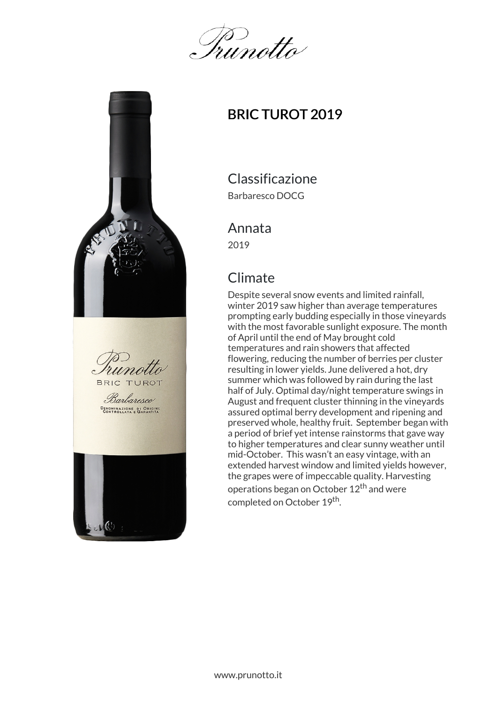Inunotta



# BRIC TUROT 2019

Classificazione

Barbaresco DOCG

#### Annata

2019

## Climate

Despite several snow events and limited rainfall, winter 2019 saw higher than average temperatures prompting early budding especially in those vineyards with the most favorable sunlight exposure. The month of April until the end of May brought cold temperatures and rain showers that affected flowering, reducing the number of berries per cluster resulting in lower yields. June delivered a hot, dry summer which was followed by rain during the last half of July. Optimal day/night temperature swings in August and frequent cluster thinning in the vineyards assured optimal berry development and ripening and preserved whole, healthy fruit. September began with a period of brief yet intense rainstorms that gave way to higher temperatures and clear sunny weather until mid-October. This wasn't an easy vintage, with an extended harvest window and limited yields however, the grapes were of impeccable quality. Harvesting operations began on October 12<sup>th</sup> and were completed on October 19<sup>th</sup>.